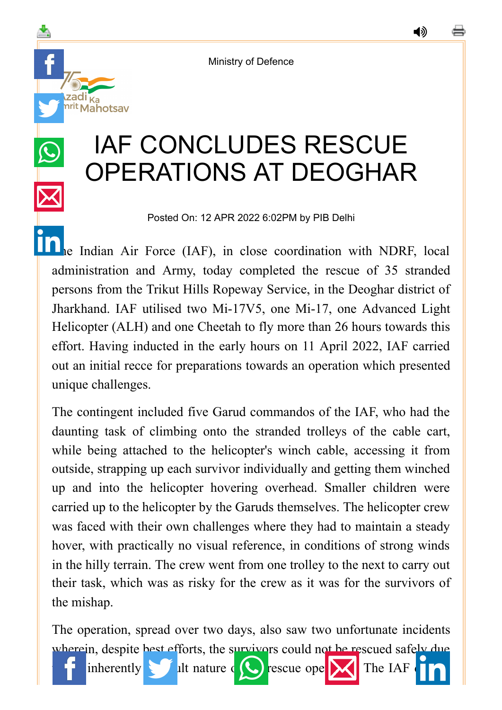Ministry of Defence

adi <sub>Ka</sub><br><sup>rit</sup> Mahotsav

◀»

## IAF CONCLUDES RESCUE OPERATIONS AT DEOGHAR

Posted On: 12 APR 2022 6:02PM by PIB Delhi

[The](https://www.linkedin.com/shareArticle?mini=true&url=https://pib.gov.in/PressReleasePage.aspx?PRID=1816092&title=IAF%20CONCLUDES%20RESCUE%20OPERATIONS%20AT%20DEOGHAR&summary=My%20favorite%20developer%20program&source=LinkedIn) Indian Air Force (IAF), in close coordination with NDRF, local administration and Army, today completed the rescue of 35 stranded persons from the Trikut Hills Ropeway Service, in the Deoghar district of Jharkhand. IAF utilised two Mi-17V5, one Mi-17, one Advanced Light Helicopter (ALH) and one Cheetah to fly more than 26 hours towards this effort. Having inducted in the early hours on 11 April 2022, IAF carried out an initial recce for preparations towards an operation which presented unique challenges.

The contingent included five Garud commandos of the IAF, who had the daunting task of climbing onto the stranded trolleys of the cable cart, while being attached to the helicopter's winch cable, accessing it from outside, strapping up each survivor individually and getting them winched up and into the helicopter hovering overhead. Smaller children were carried up to the helicopter by the Garuds themselves. The helicopter crew was faced with their own challenges where they had to maintain a steady hover, with practically no visual reference, in conditions of strong winds in the hilly terrain. The crew went from one trolley to the next to carry out their task, which was as risky for the crew as it was for the survivors of the mishap.

The operation, spread over two days, also saw two unfortunate incidents wherein, despite best efforts, the survivors could not be rescued safely due

inherently **difficult nature of**  $\bullet$  rescu[e operation. The](https://mail.google.com/mail/?view=cm&fs=1&tf=1&to=&su=IAF%20CONCLUDES%20RESCUE%20OPERATIONS%20AT%20DEOGHAR&body=https://pib.gov.in/PressReleasePage.aspx?PRID=1816092&ui=2&tf=1&pli=1) IAF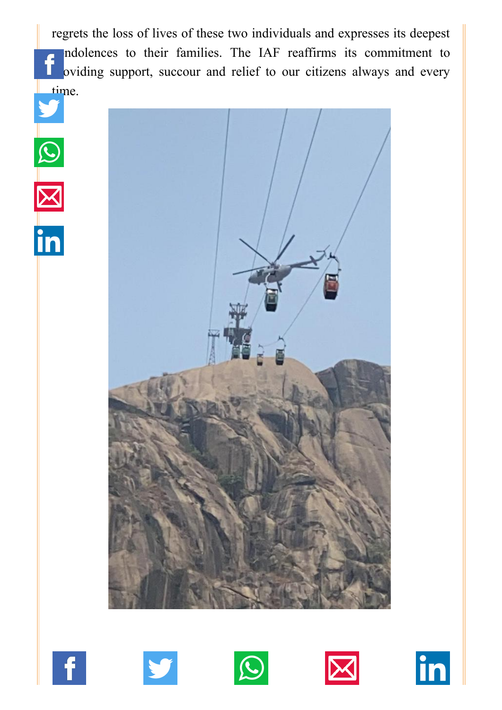[regrets the l](http://www.facebook.com/share.php?u=https://pib.gov.in/PressReleasePage.aspx?PRID=1816092)[oss of lives of th](https://twitter.com/intent/tweet?url=https://pib.gov.in/PressReleasePage.aspx?PRID=1816092&text=IAF%20CONCLUDES%20RESCUE%20OPERATIONS%20AT%20DEOGHAR)[ese two individu](https://api.whatsapp.com/send?text=https://pib.gov.in/PressReleasePage.aspx?PRID=1816092)[als and expresses](https://mail.google.com/mail/?view=cm&fs=1&tf=1&to=&su=IAF%20CONCLUDES%20RESCUE%20OPERATIONS%20AT%20DEOGHAR&body=https://pib.gov.in/PressReleasePage.aspx?PRID=1816092&ui=2&tf=1&pli=1) [its deepest](https://www.linkedin.com/shareArticle?mini=true&url=https://pib.gov.in/PressReleasePage.aspx?PRID=1816092&title=IAF%20CONCLUDES%20RESCUE%20OPERATIONS%20AT%20DEOGHAR&summary=My%20favorite%20developer%20program&source=LinkedIn) ndolences to their families. The IAF reaffirms its commitment to oviding support, succour and relief to our citizens always and every [time](https://twitter.com/intent/tweet?url=https://pib.gov.in/PressReleasePage.aspx?PRID=1816092&text=IAF%20CONCLUDES%20RESCUE%20OPERATIONS%20AT%20DEOGHAR).













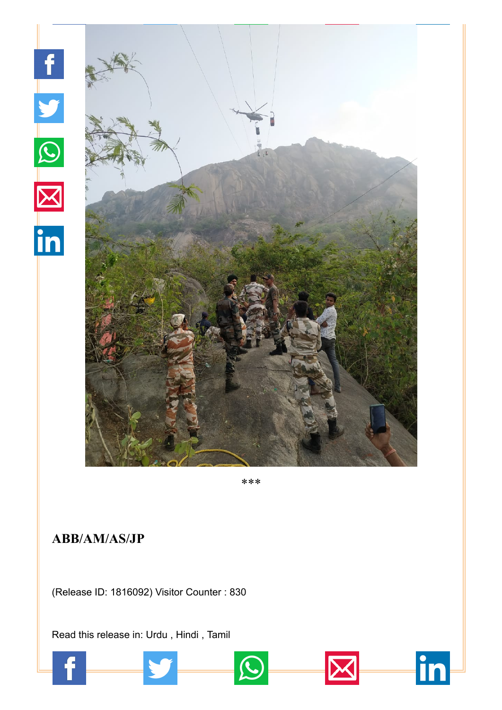

\*\*\*

in

## **ABB/AM/AS/JP**

(Release ID: 1816092) Visitor Counter : 830

Read this release in: [Urdu](https://pib.gov.in/PressReleasePage.aspx?PRID=1816199) , [Hindi](https://pib.gov.in/PressReleasePage.aspx?PRID=1816134) , [Tamil](https://pib.gov.in/PressReleasePage.aspx?PRID=1816135)